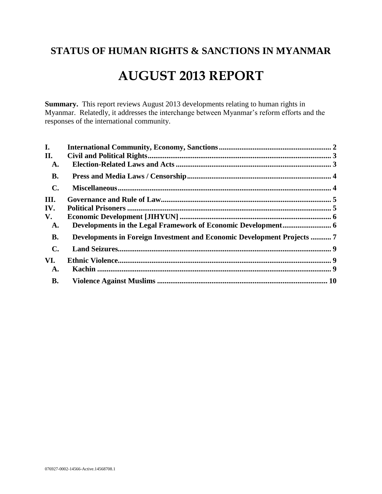# **STATUS OF HUMAN RIGHTS & SANCTIONS IN MYANMAR**

# **AUGUST 2013 REPORT**

**Summary.** This report reviews August 2013 developments relating to human rights in Myanmar. Relatedly, it addresses the interchange between Myanmar's reform efforts and the responses of the international community.

| I.             |                                                                         |  |
|----------------|-------------------------------------------------------------------------|--|
| II.            |                                                                         |  |
| A.             |                                                                         |  |
| <b>B.</b>      |                                                                         |  |
| $\mathbf{C}$ . |                                                                         |  |
| III.           |                                                                         |  |
| IV.            |                                                                         |  |
| V.             |                                                                         |  |
| A.             |                                                                         |  |
| <b>B.</b>      | Developments in Foreign Investment and Economic Development Projects  7 |  |
| $\mathbf{C}$ . |                                                                         |  |
| VI.            |                                                                         |  |
| A.             |                                                                         |  |
| <b>B.</b>      |                                                                         |  |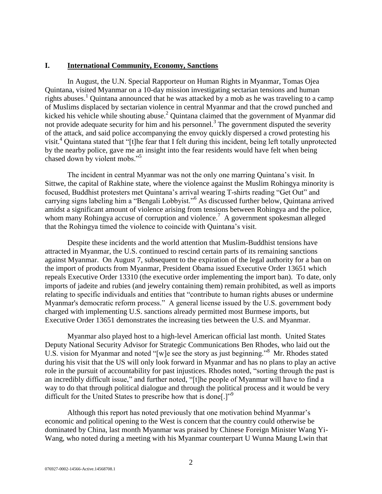#### <span id="page-1-0"></span>**I. International Community, Economy, Sanctions**

In August, the U.N. Special Rapporteur on Human Rights in Myanmar, Tomas Ojea Quintana, visited Myanmar on a 10-day mission investigating sectarian tensions and human rights abuses.<sup>1</sup> Quintana announced that he was attacked by a mob as he was traveling to a camp of Muslims displaced by sectarian violence in central Myanmar and that the crowd punched and kicked his vehicle while shouting abuse.<sup>2</sup> Quintana claimed that the government of Myanmar did not provide adequate security for him and his personnel.<sup>3</sup> The government disputed the severity of the attack, and said police accompanying the envoy quickly dispersed a crowd protesting his visit.<sup>4</sup> Quintana stated that "[t]he fear that I felt during this incident, being left totally unprotected by the nearby police, gave me an insight into the fear residents would have felt when being chased down by violent mobs."<sup>5</sup>

The incident in central Myanmar was not the only one marring Quintana's visit. In Sittwe, the capital of Rakhine state, where the violence against the Muslim Rohingya minority is focused, Buddhist protesters met Quintana's arrival wearing T-shirts reading "Get Out" and carrying signs labeling him a "Bengali Lobbyist."<sup>6</sup> As discussed further below, Quintana arrived amidst a significant amount of violence arising from tensions between Rohingya and the police, whom many Rohingya accuse of corruption and violence.<sup>7</sup> A government spokesman alleged that the Rohingya timed the violence to coincide with Quintana's visit.

Despite these incidents and the world attention that Muslim-Buddhist tensions have attracted in Myanmar, the U.S. continued to rescind certain parts of its remaining sanctions against Myanmar. On August 7, subsequent to the expiration of the legal authority for a ban on the import of products from Myanmar, President Obama issued Executive Order 13651 which repeals Executive Order 13310 (the executive order implementing the import ban). To date, only imports of jadeite and rubies (and jewelry containing them) remain prohibited, as well as imports relating to specific individuals and entities that "contribute to human rights abuses or undermine Myanmar's democratic reform process." A general license issued by the U.S. government body charged with implementing U.S. sanctions already permitted most Burmese imports, but Executive Order 13651 demonstrates the increasing ties between the U.S. and Myanmar.

Myanmar also played host to a high-level American official last month. United States Deputy National Security Advisor for Strategic Communications Ben Rhodes, who laid out the U.S. vision for Myanmar and noted "[w]e see the story as just beginning."<sup>8</sup> Mr. Rhodes stated during his visit that the US will only look forward in Myanmar and has no plans to play an active role in the pursuit of accountability for past injustices. Rhodes noted, "sorting through the past is an incredibly difficult issue," and further noted, "[t]he people of Myanmar will have to find a way to do that through political dialogue and through the political process and it would be very difficult for the United States to prescribe how that is done.<sup>[1,9]</sup>

Although this report has noted previously that one motivation behind Myanmar's economic and political opening to the West is concern that the country could otherwise be dominated by China, last month Myanmar was praised by Chinese Foreign Minister Wang Yi-Wang, who noted during a meeting with his Myanmar counterpart U Wunna Maung Lwin that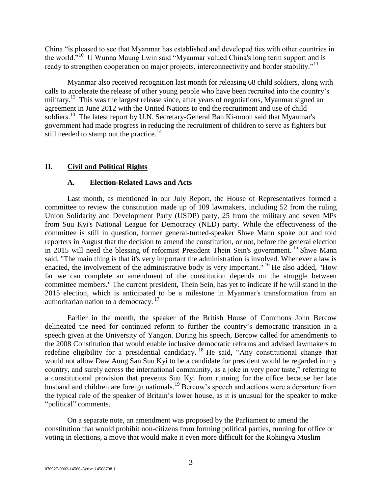China "is pleased to see that Myanmar has established and developed ties with other countries in the world.<sup>"10</sup> U Wunna Maung Lwin said "Myanmar valued China's long term support and is ready to strengthen cooperation on major projects, interconnectivity and border stability."<sup>11</sup>

Myanmar also received recognition last month for releasing 68 child soldiers, along with calls to accelerate the release of other young people who have been recruited into the country's military.<sup>12</sup> This was the largest release since, after years of negotiations, Myanmar signed an agreement in June 2012 with the United Nations to end the recruitment and use of child soldiers.<sup>13</sup> The latest report by U.N. Secretary-General Ban Ki-moon said that Myanmar's government had made progress in reducing the recruitment of children to serve as fighters but still needed to stamp out the practice.<sup>14</sup>

#### <span id="page-2-1"></span><span id="page-2-0"></span>**II. Civil and Political Rights**

#### **A. Election-Related Laws and Acts**

Last month, as mentioned in our July Report, the House of Representatives formed a committee to review the constitution made up of 109 lawmakers, including 52 from the ruling Union Solidarity and Development Party (USDP) party, 25 from the military and seven MPs from Suu Kyi's National League for Democracy (NLD) party. While the effectiveness of the committee is still in question, former general-turned-speaker Shwe Mann spoke out and told reporters in August that the decision to amend the constitution, or not, before the general election in 2015 will need the blessing of reformist President Thein Sein's government. <sup>15</sup> Shwe Mann said, "The main thing is that it's very important the administration is involved. Whenever a law is enacted, the involvement of the administrative body is very important." <sup>16</sup> He also added, "How far we can complete an amendment of the constitution depends on the struggle between committee members." The current president, Thein Sein, has yet to indicate if he will stand in the 2015 election, which is anticipated to be a milestone in Myanmar's transformation from an authoritarian nation to a democracy.  $17$ 

Earlier in the month, the speaker of the British House of Commons John Bercow delineated the need for continued reform to further the country's democratic transition in a speech given at the University of Yangon. During his speech, Bercow called for amendments to the 2008 Constitution that would enable inclusive democratic reforms and advised lawmakers to redefine eligibility for a presidential candidacy.<sup>18</sup> He said, "Any constitutional change that would not allow Daw Aung San Suu Kyi to be a candidate for president would be regarded in my country, and surely across the international community, as a joke in very poor taste," referring to a constitutional provision that prevents Suu Kyi from running for the office because her late husband and children are foreign nationals.<sup>19</sup> Bercow's speech and actions were a departure from the typical role of the speaker of Britain's lower house, as it is unusual for the speaker to make "political" comments.

On a separate note, an amendment was proposed by the Parliament to amend the constitution that would prohibit non-citizens from forming political parties, running for office or voting in elections, a move that would make it even more difficult for the Rohingya Muslim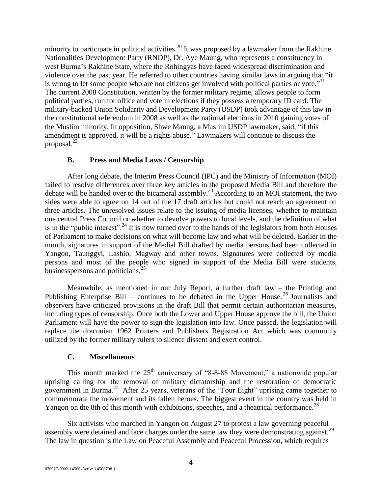minority to participate in political activities.<sup>20</sup> It was proposed by a lawmaker from the Rakhine Nationalities Development Party (RNDP), Dr. Aye Maung, who represents a constituency in west Burma's Rakhine State, where the Rohingyas have faced widespread discrimination and violence over the past year. He referred to other countries having similar laws in arguing that "it is wrong to let some people who are not citizens get involved with political parties or vote."<sup>21</sup> The current 2008 Constitution, written by the former military regime, allows people to form political parties, run for office and vote in elections if they possess a temporary ID card. The military-backed Union Solidarity and Development Party (USDP) took advantage of this law in the constitutional referendum in 2008 as well as the national elections in 2010 gaining votes of the Muslim minority. In opposition, Shwe Maung, a Muslim USDP lawmaker, said, "if this amendment is approved, it will be a rights abuse." Lawmakers will continue to discuss the proposal. $^{22}$ 

### **B. Press and Media Laws / Censorship**

<span id="page-3-0"></span>After long debate, the Interim Press Council (IPC) and the Ministry of Information (MOI) failed to resolve differences over three key articles in the proposed Media Bill and therefore the debate will be handed over to the bicameral assembly.<sup>23</sup> According to an MOI statement, the two sides were able to agree on 14 out of the 17 draft articles but could not reach an agreement on three articles. The unresolved issues relate to the issuing of media licenses, whether to maintain one central Press Council or whether to devolve powers to local levels, and the definition of what is in the "public interest".<sup>24</sup> It is now turned over to the hands of the legislators from both Houses of Parliament to make decisions on what will become law and what will be deleted. Earlier in the month, signatures in support of the Medial Bill drafted by media persons had been collected in Yangon, Taunggyi, Lashio, Magway and other towns. Signatures were collected by media persons and most of the people who signed in support of the Media Bill were students, businesspersons and politicians.<sup>25</sup>

Meanwhile, as mentioned in our July Report, a further draft law – the Printing and Publishing Enterprise Bill – continues to be debated in the Upper House.<sup>26</sup> Journalists and observers have criticized provisions in the draft Bill that permit certain authoritarian measures, including types of censorship. Once both the Lower and Upper House approve the bill, the Union Parliament will have the power to sign the legislation into law. Once passed, the legislation will replace the draconian 1962 Printers and Publishers Registration Act which was commonly utilized by the former military rulers to silence dissent and exert control.

#### **C. Miscellaneous**

<span id="page-3-1"></span>This month marked the  $25<sup>th</sup>$  anniversary of "8-8-88 Movement," a nationwide popular uprising calling for the removal of military dictatorship and the restoration of democratic government in Burma.<sup>27</sup> After 25 years, veterans of the "Four Eight" uprising came together to commemorate the movement and its fallen heroes. The biggest event in the country was held in Yangon on the 8th of this month with exhibitions, speeches, and a theatrical performance.<sup>28</sup>

Six activists who marched in Yangon on August 27 to protest a law governing peaceful assembly were detained and face charges under the same law they were demonstrating against.<sup>29</sup> The law in question is the Law on Peaceful Assembly and Peaceful Procession, which requires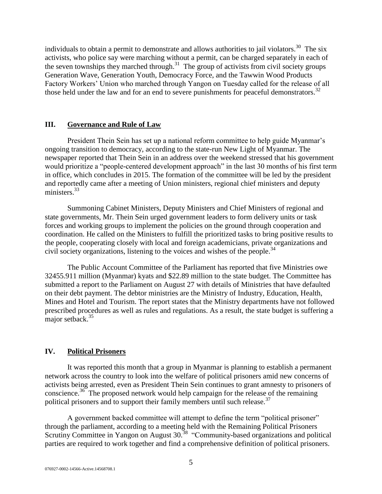individuals to obtain a permit to demonstrate and allows authorities to jail violators.<sup>30</sup> The six activists, who police say were marching without a permit, can be charged separately in each of the seven townships they marched through. $31$  The group of activists from civil society groups Generation Wave, Generation Youth, Democracy Force, and the Tawwin Wood Products Factory Workers' Union who marched through Yangon on Tuesday called for the release of all those held under the law and for an end to severe punishments for peaceful demonstrators.<sup>32</sup>

#### <span id="page-4-0"></span>**III. Governance and Rule of Law**

President Thein Sein has set up a national reform committee to help guide Myanmar's ongoing transition to democracy, according to the state-run New Light of Myanmar. The newspaper reported that Thein Sein in an address over the weekend stressed that his government would prioritize a "people-centered development approach" in the last 30 months of his first term in office, which concludes in 2015. The formation of the committee will be led by the president and reportedly came after a meeting of Union ministers, regional chief ministers and deputy ministers.<sup>33</sup>

Summoning Cabinet Ministers, Deputy Ministers and Chief Ministers of regional and state governments, Mr. Thein Sein urged government leaders to form delivery units or task forces and working groups to implement the policies on the ground through cooperation and coordination. He called on the Ministers to fulfill the prioritized tasks to bring positive results to the people, cooperating closely with local and foreign academicians, private organizations and civil society organizations, listening to the voices and wishes of the people.<sup>34</sup>

The Public Account Committee of the Parliament has reported that five Ministries owe 32455.911 million (Myanmar) kyats and \$22.89 million to the state budget. The Committee has submitted a report to the Parliament on August 27 with details of Ministries that have defaulted on their debt payment. The debtor ministries are the Ministry of Industry, Education, Health, Mines and Hotel and Tourism. The report states that the Ministry departments have not followed prescribed procedures as well as rules and regulations. As a result, the state budget is suffering a major setback.<sup>35</sup>

### <span id="page-4-1"></span>**IV. Political Prisoners**

It was reported this month that a group in Myanmar is planning to establish a permanent network across the country to look into the welfare of political prisoners amid new concerns of activists being arrested, even as President Thein Sein continues to grant amnesty to prisoners of conscience.<sup>36</sup> The proposed network would help campaign for the release of the remaining political prisoners and to support their family members until such release.<sup>37</sup>

A government backed committee will attempt to define the term "political prisoner" through the parliament, according to a meeting held with the Remaining Political Prisoners Scrutiny Committee in Yangon on August 30.<sup>38</sup> "Community-based organizations and political parties are required to work together and find a comprehensive definition of political prisoners.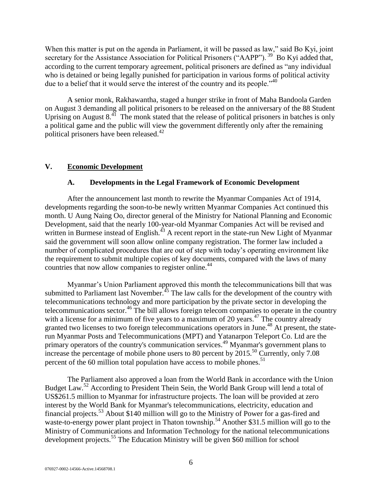When this matter is put on the agenda in Parliament, it will be passed as law," said Bo Kyi, joint secretary for the Assistance Association for Political Prisoners ("AAPP").  $^{39}$  Bo Kyi added that, according to the current temporary agreement, political prisoners are defined as "any individual who is detained or being legally punished for participation in various forms of political activity due to a belief that it would serve the interest of the country and its people."<sup>40</sup>

A senior monk, Rakhawantha, staged a hunger strike in front of Maha Bandoola Garden on August 3 demanding all political prisoners to be released on the anniversary of the 88 Student Uprising on August  $8.41$  The monk stated that the release of political prisoners in batches is only a political game and the public will view the government differently only after the remaining political prisoners have been released.<sup>42</sup>

### <span id="page-5-1"></span><span id="page-5-0"></span>**V. Economic Development**

### **A. Developments in the Legal Framework of Economic Development**

After the announcement last month to rewrite the Myanmar Companies Act of 1914, developments regarding the soon-to-be newly written Myanmar Companies Act continued this month. U Aung Naing Oo, director general of the Ministry for National Planning and Economic Development, said that the nearly 100-year-old Myanmar Companies Act will be revised and written in Burmese instead of English. $^{43}$  A recent report in the state-run New Light of Myanmar said the government will soon allow online company registration. The former law included a number of complicated procedures that are out of step with today's operating environment like the requirement to submit multiple copies of key documents, compared with the laws of many countries that now allow companies to register online.<sup>44</sup>

Myanmar's Union Parliament approved this month the telecommunications bill that was submitted to Parliament last November.<sup>45</sup> The law calls for the development of the country with telecommunications technology and more participation by the private sector in developing the telecommunications sector.<sup>46</sup> The bill allows foreign telecom companies to operate in the country with a license for a minimum of five years to a maximum of 20 years.<sup>47</sup> The country already granted two licenses to two foreign telecommunications operators in June.<sup>48</sup> At present, the staterun Myanmar Posts and Telecommunications (MPT) and Yatanarpon Teleport Co. Ltd are the primary operators of the country's communication services.<sup>49</sup> Myanmar's government plans to increase the percentage of mobile phone users to 80 percent by  $2015$ <sup>50</sup> Currently, only 7.08 percent of the 60 million total population have access to mobile phones.<sup>51</sup>

The Parliament also approved a loan from the World Bank in accordance with the Union Budget Law.<sup>52</sup> According to President Thein Sein, the World Bank Group will lend a total of US\$261.5 million to Myanmar for infrastructure projects. The loan will be provided at zero interest by the World Bank for Myanmar's telecommunications, electricity, education and financial projects.<sup>53</sup> About \$140 million will go to the Ministry of Power for a gas-fired and waste-to-energy power plant project in Thaton township.<sup>54</sup> Another \$31.5 million will go to the Ministry of Communications and Information Technology for the national telecommunications development projects.<sup>55</sup> The Education Ministry will be given \$60 million for school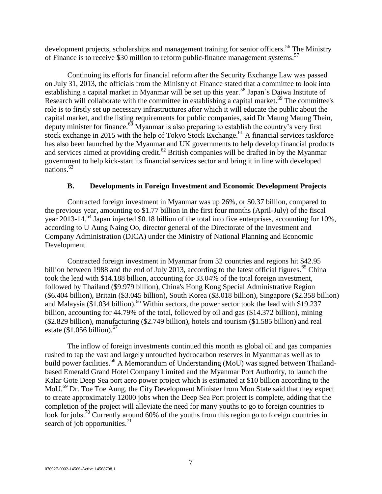development projects, scholarships and management training for senior officers.<sup>56</sup> The Ministry of Finance is to receive \$30 million to reform public-finance management systems.<sup>57</sup>

Continuing its efforts for financial reform after the Security Exchange Law was passed on July 31, 2013, the officials from the Ministry of Finance stated that a committee to look into establishing a capital market in Myanmar will be set up this year.<sup>58</sup> Japan's Daiwa Institute of Research will collaborate with the committee in establishing a capital market.<sup>59</sup> The committee's role is to firstly set up necessary infrastructures after which it will educate the public about the capital market, and the listing requirements for public companies, said Dr Maung Maung Thein, deputy minister for finance.<sup>60</sup> Myanmar is also preparing to establish the country's very first stock exchange in 2015 with the help of Tokyo Stock Exchange.<sup>61</sup> A financial services taskforce has also been launched by the Myanmar and UK governments to help develop financial products and services aimed at providing credit.<sup>62</sup> British companies will be drafted in by the Myanmar government to help kick-start its financial services sector and bring it in line with developed nations. 63

#### **B. Developments in Foreign Investment and Economic Development Projects**

<span id="page-6-0"></span>Contracted foreign investment in Myanmar was up 26%, or \$0.37 billion, compared to the previous year, amounting to \$1.77 billion in the first four months (April-July) of the fiscal year 2013-14.<sup>64</sup> Japan injected \$0.18 billion of the total into five enterprises, accounting for 10%, according to U Aung Naing Oo, director general of the Directorate of the Investment and Company Administration (DICA) under the Ministry of National Planning and Economic Development.

Contracted foreign investment in Myanmar from 32 countries and regions hit \$42.95 billion between 1988 and the end of July 2013, according to the latest official figures.<sup>65</sup> China took the lead with \$14.188 billion, accounting for 33.04% of the total foreign investment, followed by Thailand (\$9.979 billion), China's Hong Kong Special Administrative Region (\$6.404 billion), Britain (\$3.045 billion), South Korea (\$3.018 billion), Singapore (\$2.358 billion) and Malaysia (\$1.034 billion).<sup>66</sup> Within sectors, the power sector took the lead with \$19.237 billion, accounting for 44.79% of the total, followed by oil and gas (\$14.372 billion), mining (\$2.829 billion), manufacturing (\$2.749 billion), hotels and tourism (\$1.585 billion) and real estate  $$1.056$  billion).<sup>67</sup>

The inflow of foreign investments continued this month as global oil and gas companies rushed to tap the vast and largely untouched hydrocarbon reserves in Myanmar as well as to build power facilities.<sup>68</sup> A Memorandum of Understanding (MoU) was signed between Thailandbased Emerald Grand Hotel Company Limited and the Myanmar Port Authority, to launch the Kalar Gote Deep Sea port aero power project which is estimated at \$10 billion according to the MoU.<sup>69</sup> Dr. Toe Toe Aung, the City Development Minister from Mon State said that they expect to create approximately 12000 jobs when the Deep Sea Port project is complete, adding that the completion of the project will alleviate the need for many youths to go to foreign countries to look for jobs.<sup>70</sup> Currently around 60% of the youths from this region go to foreign countries in search of job opportunities. $71$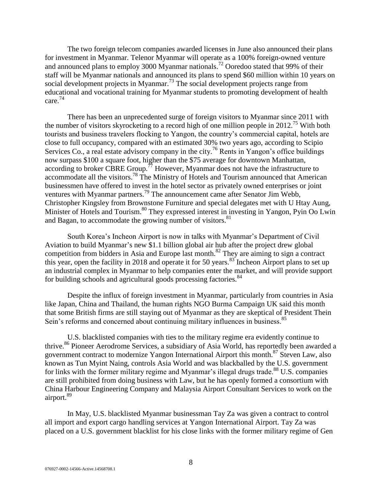The two foreign telecom companies awarded licenses in June also announced their plans for investment in Myanmar. Telenor Myanmar will operate as a 100% foreign-owned venture and announced plans to employ 3000 Myanmar nationals.<sup>72</sup> Ooredoo stated that 99% of their staff will be Myanmar nationals and announced its plans to spend \$60 million within 10 years on social development projects in Myanmar.<sup>73</sup> The social development projects range from educational and vocational training for Myanmar students to promoting development of health care.<sup>74</sup>

There has been an unprecedented surge of foreign visitors to Myanmar since 2011 with the number of visitors skyrocketing to a record high of one million people in 2012.<sup>75</sup> With both tourists and business travelers flocking to Yangon, the country's commercial capital, hotels are close to full occupancy, compared with an estimated 30% two years ago, according to Scipio Services Co., a real estate advisory company in the city.<sup>76</sup> Rents in Yangon's office buildings now surpass \$100 a square foot, higher than the \$75 average for downtown Manhattan, according to broker CBRE Group.<sup> $\frac{7}{7}$ </sup> However, Myanmar does not have the infrastructure to accommodate all the visitors.<sup>78</sup> The Ministry of Hotels and Tourism announced that American businessmen have offered to invest in the hotel sector as privately owned enterprises or joint ventures with Myanmar partners.<sup>79</sup> The announcement came after Senator Jim Webb, Christopher Kingsley from Brownstone Furniture and special delegates met with U Htay Aung, Minister of Hotels and Tourism.<sup>80</sup> They expressed interest in investing in Yangon, Pyin Oo Lwin and Bagan, to accommodate the growing number of visitors.<sup>81</sup>

South Korea's Incheon Airport is now in talks with Myanmar's Department of Civil Aviation to build Myanmar's new \$1.1 billion global air hub after the project drew global competition from bidders in Asia and Europe last month.<sup>82</sup> They are aiming to sign a contract this year, open the facility in 2018 and operate it for 50 years. $83$  Incheon Airport plans to set up an industrial complex in Myanmar to help companies enter the market, and will provide support for building schools and agricultural goods processing factories.<sup>84</sup>

Despite the influx of foreign investment in Myanmar, particularly from countries in Asia like Japan, China and Thailand, the human rights NGO Burma Campaign UK said this month that some British firms are still staying out of Myanmar as they are skeptical of President Thein Sein's reforms and concerned about continuing military influences in business.<sup>85</sup>

U.S. blacklisted companies with ties to the military regime era evidently continue to thrive.<sup>86</sup> Pioneer Aerodrome Services, a subsidiary of Asia World, has reportedly been awarded a government contract to modernize Yangon International Airport this month.<sup>87</sup> Steven Law, also known as Tun Myint Naing, controls Asia World and was blackballed by the U.S. government for links with the former military regime and Myanmar's illegal drugs trade.<sup>88</sup> U.S. companies are still prohibited from doing business with Law, but he has openly formed a consortium with China Harbour Engineering Company and Malaysia Airport Consultant Services to work on the airport.<sup>89</sup>

In May, U.S. blacklisted Myanmar businessman Tay Za was given a contract to control all import and export cargo handling services at Yangon International Airport. Tay Za was placed on a U.S. government blacklist for his close links with the former military regime of Gen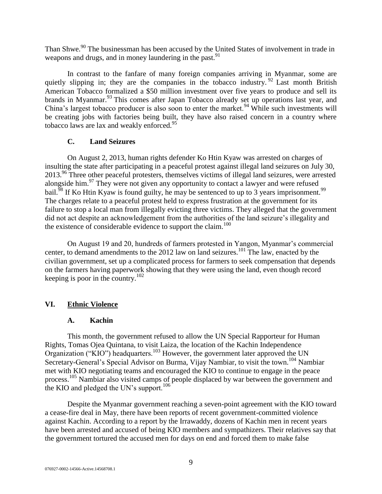Than Shwe.<sup>90</sup> The businessman has been accused by the United States of involvement in trade in weapons and drugs, and in money laundering in the past.<sup>91</sup>

In contrast to the fanfare of many foreign companies arriving in Myanmar, some are quietly slipping in; they are the companies in the tobacco industry.  $92$  Last month British American Tobacco formalized a \$50 million investment over five years to produce and sell its brands in Myanmar.<sup>93</sup> This comes after Japan Tobacco already set up operations last year, and China's largest tobacco producer is also soon to enter the market.<sup>94</sup> While such investments will be creating jobs with factories being built, they have also raised concern in a country where tobacco laws are lax and weakly enforced.<sup>95</sup>

## **C. Land Seizures**

<span id="page-8-0"></span>On August 2, 2013, human rights defender Ko Htin Kyaw was arrested on charges of insulting the state after participating in a peaceful protest against illegal land seizures on July 30, 2013.<sup>96</sup> Three other peaceful protesters, themselves victims of illegal land seizures, were arrested alongside him.<sup>97</sup> They were not given any opportunity to contact a lawyer and were refused bail.<sup>98</sup> If Ko Htin Kyaw is found guilty, he may be sentenced to up to 3 years imprisonment.<sup>99</sup> The charges relate to a peaceful protest held to express frustration at the government for its failure to stop a local man from illegally evicting three victims. They alleged that the government did not act despite an acknowledgement from the authorities of the land seizure's illegality and the existence of considerable evidence to support the claim.<sup>100</sup>

On August 19 and 20, hundreds of farmers protested in Yangon, Myanmar's commercial center, to demand amendments to the 2012 law on land seizures.<sup>101</sup> The law, enacted by the civilian government, set up a complicated process for farmers to seek compensation that depends on the farmers having paperwork showing that they were using the land, even though record keeping is poor in the country.<sup>102</sup>

# <span id="page-8-2"></span><span id="page-8-1"></span>**VI. Ethnic Violence**

### **A. Kachin**

This month, the government refused to allow the UN Special Rapporteur for Human Rights, Tomas Ojea Quintana, to visit Laiza, the location of the Kachin Independence Organization ("KIO") headquarters.<sup>103</sup> However, the government later approved the UN Secretary-General's Special Advisor on Burma, Vijay Nambiar, to visit the town.<sup>104</sup> Nambiar met with KIO negotiating teams and encouraged the KIO to continue to engage in the peace process.<sup>105</sup> Nambiar also visited camps of people displaced by war between the government and the KIO and pledged the UN's support.<sup>106</sup>

Despite the Myanmar government reaching a seven-point agreement with the KIO toward a cease-fire deal in May, there have been reports of recent government-committed violence against Kachin. According to a report by the Irrawaddy, dozens of Kachin men in recent years have been arrested and accused of being KIO members and sympathizers. Their relatives say that the government tortured the accused men for days on end and forced them to make false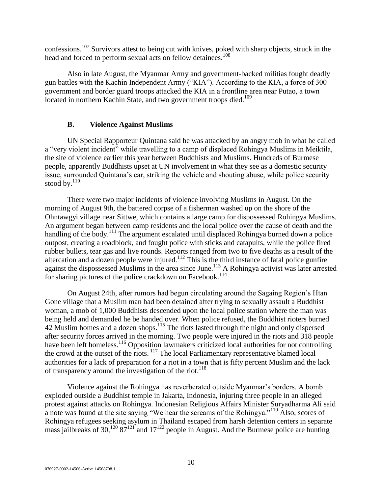confessions.<sup>107</sup> Survivors attest to being cut with knives, poked with sharp objects, struck in the head and forced to perform sexual acts on fellow detainees.<sup>108</sup>

Also in late August, the Myanmar Army and government-backed militias fought deadly gun battles with the Kachin Independent Army ("KIA"). According to the KIA, a force of 300 government and border guard troops attacked the KIA in a frontline area near Putao, a town located in northern Kachin State, and two government troops died.<sup>109</sup>

### **B. Violence Against Muslims**

<span id="page-9-0"></span>UN Special Rapporteur Quintana said he was attacked by an angry mob in what he called a "very violent incident" while travelling to a camp of displaced Rohingya Muslims in Meiktila, the site of violence earlier this year between Buddhists and Muslims. Hundreds of Burmese people, apparently Buddhists upset at UN involvement in what they see as a domestic security issue, surrounded Quintana's car, striking the vehicle and shouting abuse, while police security stood by. $110$ 

There were two major incidents of violence involving Muslims in August. On the morning of August 9th, the battered corpse of a fisherman washed up on the shore of the Ohntawgyi village near Sittwe, which contains a large camp for dispossessed Rohingya Muslims. An argument began between camp residents and the local police over the cause of death and the handling of the body.<sup>111</sup> The argument escalated until displaced Rohingya burned down a police outpost, creating a roadblock, and fought police with sticks and catapults, while the police fired rubber bullets, tear gas and live rounds. Reports ranged from two to five deaths as a result of the altercation and a dozen people were injured. $112$  This is the third instance of fatal police gunfire against the dispossessed Muslims in the area since June.<sup>113</sup> A Rohingya activist was later arrested for sharing pictures of the police crackdown on Facebook.<sup>114</sup>

On August 24th, after rumors had begun circulating around the Sagaing Region's Htan Gone village that a Muslim man had been detained after trying to sexually assault a Buddhist woman, a mob of 1,000 Buddhists descended upon the local police station where the man was being held and demanded he be handed over. When police refused, the Buddhist rioters burned  $42$  Muslim homes and a dozen shops.<sup>115</sup> The riots lasted through the night and only dispersed after security forces arrived in the morning. Two people were injured in the riots and 318 people have been left homeless.<sup>116</sup> Opposition lawmakers criticized local authorities for not controlling the crowd at the outset of the riots. <sup>117</sup> The local Parliamentary representative blamed local authorities for a lack of preparation for a riot in a town that is fifty percent Muslim and the lack of transparency around the investigation of the riot.<sup>118</sup>

Violence against the Rohingya has reverberated outside Myanmar's borders. A bomb exploded outside a Buddhist temple in Jakarta, Indonesia, injuring three people in an alleged protest against attacks on Rohingya. Indonesian Religious Affairs Minister Suryadharma Ali said a note was found at the site saying "We hear the screams of the Rohingya."<sup>119</sup> Also, scores of Rohingya refugees seeking asylum in Thailand escaped from harsh detention centers in separate mass jailbreaks of 30,<sup>120</sup> 87<sup>121</sup> and 17<sup>122</sup> people in August. And the Burmese police are hunting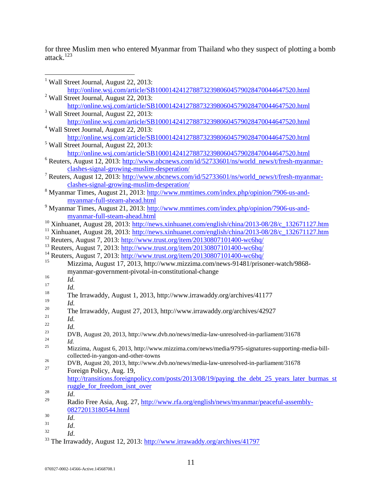for three Muslim men who entered Myanmar from Thailand who they suspect of plotting a bomb attack.<sup>123</sup>

|        | <sup>1</sup> Wall Street Journal, August 22, 2013:                                                           |
|--------|--------------------------------------------------------------------------------------------------------------|
|        | http://online.wsj.com/article/SB10001424127887323980604579028470044647520.html                               |
|        | $2$ Wall Street Journal, August 22, 2013:                                                                    |
|        | http://online.wsj.com/article/SB10001424127887323980604579028470044647520.html                               |
|        | <sup>3</sup> Wall Street Journal, August 22, 2013:                                                           |
|        | http://online.wsj.com/article/SB10001424127887323980604579028470044647520.html                               |
|        | <sup>4</sup> Wall Street Journal, August 22, 2013:                                                           |
|        | http://online.wsj.com/article/SB10001424127887323980604579028470044647520.html                               |
|        | <sup>5</sup> Wall Street Journal, August 22, 2013:                                                           |
|        | http://online.wsj.com/article/SB10001424127887323980604579028470044647520.html                               |
|        | <sup>6</sup> Reuters, August 12, 2013: http://www.nbcnews.com/id/52733601/ns/world_news/t/fresh-myanmar-     |
|        | clashes-signal-growing-muslim-desperation/                                                                   |
|        |                                                                                                              |
|        | <sup>7</sup> Reuters, August 12, 2013: http://www.nbcnews.com/id/52733601/ns/world_news/t/fresh-myanmar-     |
|        | clashes-signal-growing-muslim-desperation/                                                                   |
|        | <sup>8</sup> Myanmar Times, August 21, 2013: http://www.mmtimes.com/index.php/opinion/7906-us-and-           |
|        | myanmar-full-steam-ahead.html                                                                                |
|        | <sup>9</sup> Myanmar Times, August 21, 2013: http://www.mmtimes.com/index.php/opinion/7906-us-and-           |
|        | myanmar-full-steam-ahead.html                                                                                |
|        | <sup>10</sup> Xinhuanet, August 28, 2013: http://news.xinhuanet.com/english/china/2013-08/28/c_132671127.htm |
|        | <sup>11</sup> Xinhuanet, August 28, 2013: http://news.xinhuanet.com/english/china/2013-08/28/c_132671127.htm |
|        | <sup>12</sup> Reuters, August 7, 2013: http://www.trust.org/item/20130807101400-wc6hq/                       |
|        | <sup>13</sup> Reuters, August 7, 2013: http://www.trust.org/item/20130807101400-wc6hq/                       |
|        | <sup>14</sup> Reuters, August 7, 2013: http://www.trust.org/item/20130807101400-wc6hq/                       |
| 15     | Mizzima, August 17, 2013, http://www.mizzima.com/news-91481/prisoner-watch/9868-                             |
|        | myanmar-government-pivotal-in-constitutional-change                                                          |
| 16     | Id.                                                                                                          |
| 17     | Id.                                                                                                          |
| 18     | The Irrawaddy, August 1, 2013, http://www.irrawaddy.org/archives/41177                                       |
| 19     | Id.                                                                                                          |
| $20\,$ |                                                                                                              |
| 21     | The Irrawaddy, August 27, 2013, http://www.irrawaddy.org/archives/42927                                      |
| 22     | Id.                                                                                                          |
| 23     | Id.                                                                                                          |
| 24     | DVB, August 20, 2013, http://www.dvb.no/news/media-law-unresolved-in-parliament/31678                        |
| 25     | Id.                                                                                                          |
|        | Mizzima, August 6, 2013, http://www.mizzima.com/news/media/9795-signatures-supporting-media-bill-            |
| 26     | collected-in-yangon-and-other-towns                                                                          |
| 27     | DVB, August 20, 2013, http://www.dvb.no/news/media-law-unresolved-in-parliament/31678                        |
|        | Foreign Policy, Aug. 19,                                                                                     |
|        | http://transitions.foreignpolicy.com/posts/2013/08/19/paying the debt 25 years later burmas st               |
|        | ruggle_for_freedom_isnt_over                                                                                 |
| 28     | Id.                                                                                                          |
| 29     | Radio Free Asia, Aug. 27, http://www.rfa.org/english/news/myanmar/peaceful-assembly-                         |
|        | 08272013180544.html                                                                                          |
| 30     | Id.                                                                                                          |
| 31     | Id.                                                                                                          |
| 32     | Id.                                                                                                          |
|        |                                                                                                              |

<sup>&</sup>lt;sup>33</sup> The Irrawaddy, August 12, 2013:<http://www.irrawaddy.org/archives/41797>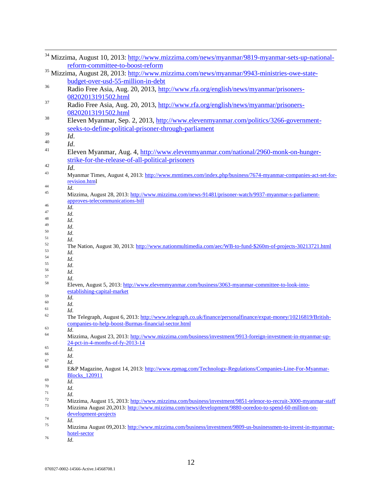|    | <sup>34</sup> Mizzima, August 10, 2013: http://www.mizzima.com/news/myanmar/9819-myanmar-sets-up-national-                                                              |
|----|-------------------------------------------------------------------------------------------------------------------------------------------------------------------------|
|    | reform-committee-to-boost-reform                                                                                                                                        |
|    | <sup>35</sup> Mizzima, August 28, 2013: http://www.mizzima.com/news/myanmar/9943-ministries-owe-state-                                                                  |
|    | budget-over-usd-55-million-in-debt                                                                                                                                      |
| 36 | Radio Free Asia, Aug. 20, 2013, http://www.rfa.org/english/news/myanmar/prisoners-                                                                                      |
|    |                                                                                                                                                                         |
| 37 | 08202013191502.html                                                                                                                                                     |
|    | Radio Free Asia, Aug. 20, 2013, http://www.rfa.org/english/news/myanmar/prisoners-                                                                                      |
|    | 08202013191502.html                                                                                                                                                     |
| 38 | Eleven Myanmar, Sep. 2, 2013, http://www.elevenmyanmar.com/politics/3266-government-                                                                                    |
|    | seeks-to-define-political-prisoner-through-parliament                                                                                                                   |
| 39 | Id.                                                                                                                                                                     |
| 40 | Id.                                                                                                                                                                     |
| 41 |                                                                                                                                                                         |
|    | Eleven Myanmar, Aug. 4, http://www.elevenmyanmar.com/national/2960-monk-on-hunger-                                                                                      |
|    | strike-for-the-release-of-all-political-prisoners                                                                                                                       |
| 42 | Id.                                                                                                                                                                     |
| 43 | Myanmar Times, August 4, 2013: http://www.mmtimes.com/index.php/business/7674-myanmar-companies-act-set-for-                                                            |
|    | revision.html                                                                                                                                                           |
| 44 | Id.                                                                                                                                                                     |
| 45 | Mizzima, August 28, 2013: http://www.mizzima.com/news-91481/prisoner-watch/9937-myanmar-s-parliament-                                                                   |
| 46 | approves-telecommunications-bill                                                                                                                                        |
| 47 | Id.                                                                                                                                                                     |
| 48 | Id.<br>Id.                                                                                                                                                              |
| 49 | Id.                                                                                                                                                                     |
| 50 | Id.                                                                                                                                                                     |
| 51 | Id.                                                                                                                                                                     |
| 52 | The Nation, August 30, 2013: http://www.nationmultimedia.com/aec/WB-to-fund-\$260m-of-projects-30213721.html                                                            |
| 53 | Id.                                                                                                                                                                     |
| 54 | Id.                                                                                                                                                                     |
| 55 | Id.                                                                                                                                                                     |
| 56 | Id.                                                                                                                                                                     |
| 57 | Id.                                                                                                                                                                     |
| 58 | Eleven, August 5, 2013: http://www.elevenmyanmar.com/business/3063-myanmar-committee-to-look-into-                                                                      |
| 59 | establishing-capital-market                                                                                                                                             |
| 60 | Id.                                                                                                                                                                     |
| 61 | Id.                                                                                                                                                                     |
| 62 | Id.                                                                                                                                                                     |
|    | The Telegraph, August 6, 2013: http://www.telegraph.co.uk/finance/personalfinance/expat-money/10216819/British-<br>companies-to-help-boost-Burmas-financial-sector.html |
| 63 | Id.                                                                                                                                                                     |
| 64 | Mizzima, August 23, 2013: http://www.mizzima.com/business/investment/9913-foreign-investment-in-myanmar-up-                                                             |
|    | 24-pct-in-4-months-of-fy-2013-14                                                                                                                                        |
| 65 | Id.                                                                                                                                                                     |
| 66 | Id.                                                                                                                                                                     |
| 67 | Id.                                                                                                                                                                     |
| 68 | E&P Magazine, August 14, 2013: http://www.epmag.com/Technology-Regulations/Companies-Line-For-Myanmar-<br><b>Blocks_120911</b>                                          |
| 69 | Id.                                                                                                                                                                     |
| 70 | Id.                                                                                                                                                                     |
| 71 | Id.                                                                                                                                                                     |
| 72 | Mizzima, August 15, 2013: http://www.mizzima.com/business/investment/9851-telenor-to-recruit-3000-myanmar-staff                                                         |
| 73 | Mizzima August 20,2013: http://www.mizzima.com/news/development/9880-ooredoo-to-spend-60-million-on-                                                                    |
|    | development-projects                                                                                                                                                    |
| 74 | Id.                                                                                                                                                                     |
| 75 | Mizzima August 09,2013: http://www.mizzima.com/business/investment/9809-us-businessmen-to-invest-in-myanmar-                                                            |
|    | hotel-sector                                                                                                                                                            |
| 76 | $\mathbf{r}$                                                                                                                                                            |

<sup>76</sup> *Id*.

 $\overline{a}$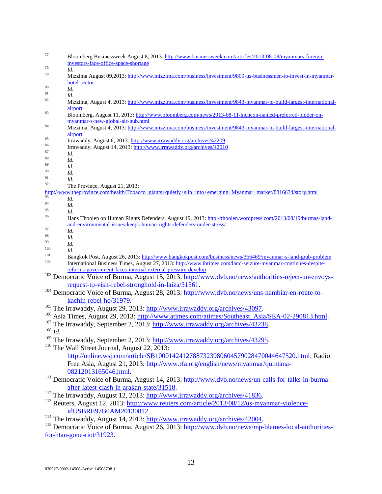| 77            | Bloomberg Businessweek August 8, 2013: http://www.businessweek.com/articles/2013-08-08/myanmars-foreign-          |
|---------------|-------------------------------------------------------------------------------------------------------------------|
|               | investors-face-office-space-shortage                                                                              |
| 78            | Id.                                                                                                               |
| 79            | Mizzima August 09,2013: http://www.mizzima.com/business/investment/9809-us-businessmen-to-invest-in-myanmar-      |
|               | hotel-sector                                                                                                      |
| 80            | Id.                                                                                                               |
| 81            | Id.                                                                                                               |
| 82            | Mizzima, August 4, 2013: http://www.mizzima.com/business/investment/9843-myanmar-to-build-largest-international-  |
|               | airport                                                                                                           |
| 83            | Bloomberg, August 11, 2013: http://www.bloomberg.com/news/2013-08-11/incheon-named-preferred-bidder-on-           |
|               | myanmar-s-new-global-air-hub.html                                                                                 |
| 84            | Mizzima, August 4, 2013: http://www.mizzima.com/business/investment/9843-myanmar-to-build-largest-international-  |
|               | airport                                                                                                           |
| 85            | Irrawaddy, August 6, 2013: http://www.irrawaddy.org/archives/42209                                                |
| 86            | Irrawaddy, August 14, 2013: http://www.irrawaddy.org/archives/42010                                               |
| 87            | Id.                                                                                                               |
| 88            | Id.                                                                                                               |
| 89            | Id.                                                                                                               |
| 90            | Id.                                                                                                               |
| 91            | Id.                                                                                                               |
| 92            | The Province, August 21, 2013:                                                                                    |
| 93            | http://www.theprovince.com/health/Tobacco+giants+quietly+slip+into+emerging+Myanmar+market/8816634/story.html     |
| 94            | Id.                                                                                                               |
| 95            | Id.                                                                                                               |
| 96            | Id.                                                                                                               |
|               | Hans Thoolen on Human Rights Defenders, August 19, 2013: http://thoolen.wordpress.com/2013/08/19/burmas-land-     |
| 97            | and-environmental-issues-keeps-human-rights-defenders-under-stress/                                               |
| 98            | Id.                                                                                                               |
| 99            | Id.                                                                                                               |
| 100           | Id.                                                                                                               |
| 101           | Id.<br>Bangkok Post, August 26, 2013: http://www.bangkokpost.com/business/news/366469/myanmar-s-land-grab-problem |
| 102           | International Business Times, August 27, 2013: http://www.ibtimes.com/land-seizure-myanmar-continues-despite-     |
|               | reforms-government-faces-internal-external-pressure-develop                                                       |
|               |                                                                                                                   |
|               | <sup>103</sup> Democratic Voice of Burma, August 15, 2013: http://www.dvb.no/news/authorities-reject-un-envoys-   |
|               | request-to-visit-rebel-stronghold-in-laiza/31561.                                                                 |
|               | <sup>104</sup> Democratic Voice of Burma, August 28, 2013: http://www.dvb.no/news/uns-nambiar-en-route-to-        |
|               | kachin-rebel-hq/31979.                                                                                            |
|               | <sup>105</sup> The Irrawaddy, August 29, 2013: http://www.irrawaddy.org/archives/43097.                           |
|               | <sup>106</sup> Asia Times, August 29, 2013: http://www.atimes.com/atimes/Southeast_Asia/SEA-02-290813.html.       |
|               |                                                                                                                   |
|               | <sup>107</sup> The Irrawaddy, September 2, 2013: http://www.irrawaddy.org/archives/43238.                         |
| $^{108}\,Id.$ |                                                                                                                   |
|               | <sup>109</sup> The Irrawaddy, September 2, 2013: http://www.irrawaddy.org/archives/43295.                         |
|               | <sup>110</sup> The Wall Street Journal, August 22, 2013:                                                          |
|               | http://online.wsj.com/article/SB10001424127887323980604579028470044647520.html; Radio                             |
|               |                                                                                                                   |
|               | Free Asia, August 21, 2013: http://www.rfa.org/english/news/myanmar/quintana-                                     |
|               | 08212013165046.html.                                                                                              |
|               | <sup>111</sup> Democratic Voice of Burma, August 14, 2013: http://www.dvb.no/news/un-calls-for-talks-in-burma-    |
|               | after-latest-clash-in-arakan-state/31518.                                                                         |
|               | <sup>112</sup> The Irrawaddy, August 12, 2013: http://www.irrawaddy.org/archives/41836.                           |
|               |                                                                                                                   |
|               | <sup>113</sup> Reuters, August 12, 2013: http://www.reuters.com/article/2013/08/12/us-myanmar-violence-           |
|               | idUSBRE97B0AM20130812.                                                                                            |
|               | <sup>114</sup> The Irrawaddy, August 14, 2013: http://www.irrawaddy.org/archives/42004.                           |
|               | <sup>115</sup> Democratic Voice of Burma, August 26, 2013: http://www.dvb.no/news/mp-blames-local-authorities-    |
|               | for- $htan-gone-riot/31923$ .                                                                                     |
|               |                                                                                                                   |